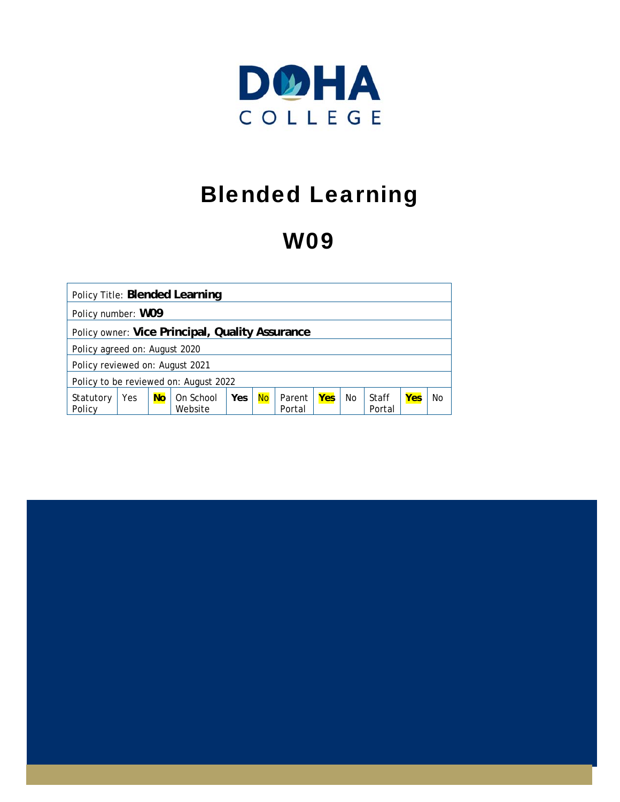

# Blended Learning

# W09

| Policy Title: Blended Learning                  |     |           |                      |     |           |                  |     |           |                 |     |    |
|-------------------------------------------------|-----|-----------|----------------------|-----|-----------|------------------|-----|-----------|-----------------|-----|----|
| Policy number: WO9                              |     |           |                      |     |           |                  |     |           |                 |     |    |
| Policy owner: Vice Principal, Quality Assurance |     |           |                      |     |           |                  |     |           |                 |     |    |
| Policy agreed on: August 2020                   |     |           |                      |     |           |                  |     |           |                 |     |    |
| Policy reviewed on: August 2021                 |     |           |                      |     |           |                  |     |           |                 |     |    |
| Policy to be reviewed on: August 2022           |     |           |                      |     |           |                  |     |           |                 |     |    |
| Statutory<br>Policy                             | Yes | <b>No</b> | On School<br>Website | Yes | <b>No</b> | Parent<br>Portal | Yes | <b>No</b> | Staff<br>Portal | Yes | No |

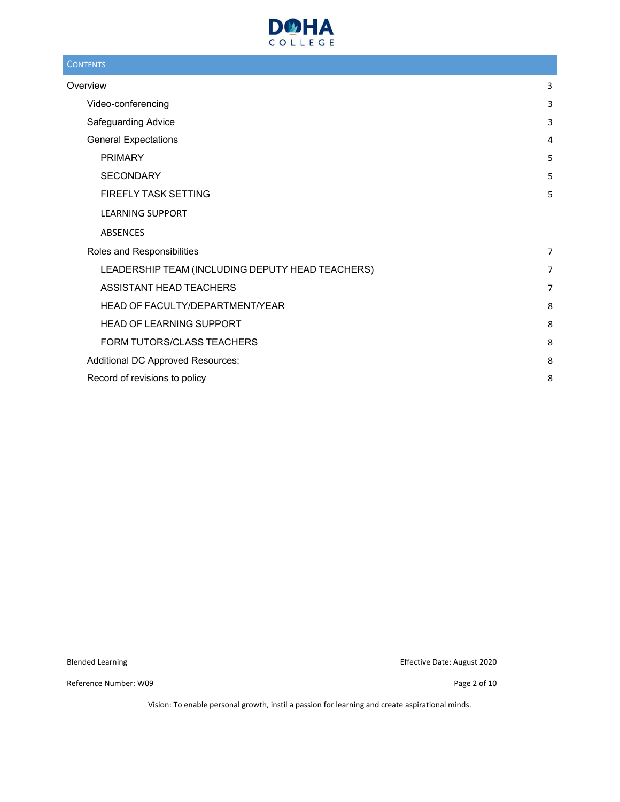

# **CONTENTS**

| Overview                                         | 3              |
|--------------------------------------------------|----------------|
| Video-conferencing                               | 3              |
| Safeguarding Advice                              | 3              |
| <b>General Expectations</b>                      | 4              |
| <b>PRIMARY</b>                                   | 5              |
| <b>SECONDARY</b>                                 | 5              |
| FIREFLY TASK SETTING                             | 5              |
| <b>LEARNING SUPPORT</b>                          |                |
| <b>ABSENCES</b>                                  |                |
| Roles and Responsibilities                       | $\overline{7}$ |
| LEADERSHIP TEAM (INCLUDING DEPUTY HEAD TEACHERS) | $\overline{7}$ |
| ASSISTANT HEAD TEACHERS                          | $\overline{7}$ |
| HEAD OF FACULTY/DEPARTMENT/YEAR                  | 8              |
| <b>HEAD OF LEARNING SUPPORT</b>                  | 8              |
| FORM TUTORS/CLASS TEACHERS                       | 8              |
| Additional DC Approved Resources:                | 8              |
| Record of revisions to policy                    | 8              |

Reference Number: W09 Page 2 of 10

Blended Learning **Blended Learning Effective Date: August 2020**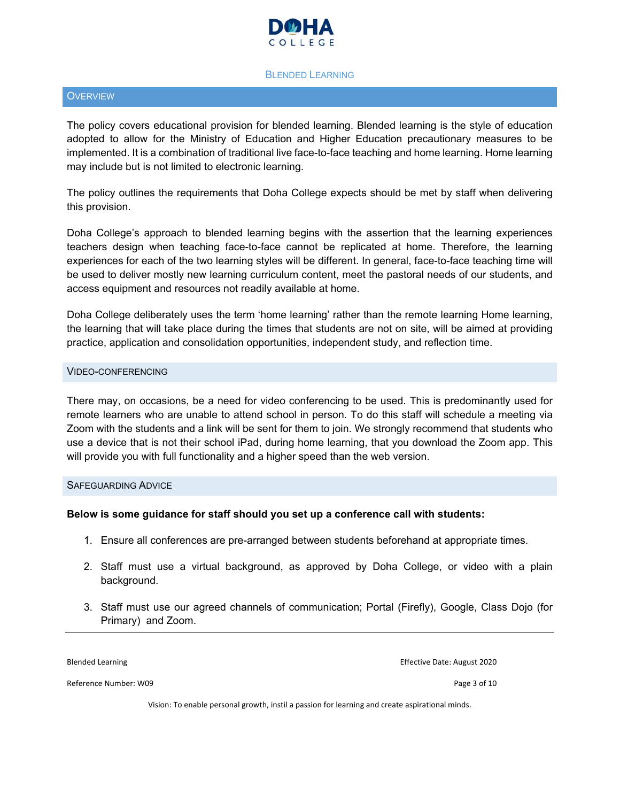

# BLENDED LEARNING

#### **OVERVIEW**

The policy covers educational provision for blended learning. Blended learning is the style of education adopted to allow for the Ministry of Education and Higher Education precautionary measures to be implemented. It is a combination of traditional live face-to-face teaching and home learning. Home learning may include but is not limited to electronic learning.

The policy outlines the requirements that Doha College expects should be met by staff when delivering this provision.

Doha College's approach to blended learning begins with the assertion that the learning experiences teachers design when teaching face-to-face cannot be replicated at home. Therefore, the learning experiences for each of the two learning styles will be different. In general, face-to-face teaching time will be used to deliver mostly new learning curriculum content, meet the pastoral needs of our students, and access equipment and resources not readily available at home.

Doha College deliberately uses the term 'home learning' rather than the remote learning Home learning, the learning that will take place during the times that students are not on site, will be aimed at providing practice, application and consolidation opportunities, independent study, and reflection time.

#### VIDEO-CONFERENCING

There may, on occasions, be a need for video conferencing to be used. This is predominantly used for remote learners who are unable to attend school in person. To do this staff will schedule a meeting via Zoom with the students and a link will be sent for them to join. We strongly recommend that students who use a device that is not their school iPad, during home learning, that you download the Zoom app. This will provide you with full functionality and a higher speed than the web version.

# SAFEGUARDING ADVICE

# **Below is some guidance for staff should you set up a conference call with students:**

- 1. Ensure all conferences are pre-arranged between students beforehand at appropriate times.
- 2. Staff must use a virtual background, as approved by Doha College, or video with a plain background.
- 3. Staff must use our agreed channels of communication; Portal (Firefly), Google, Class Dojo (for Primary) and Zoom.

Blended Learning **Blended Learning Effective Date: August 2020** 

Reference Number: W09 Page 3 of 10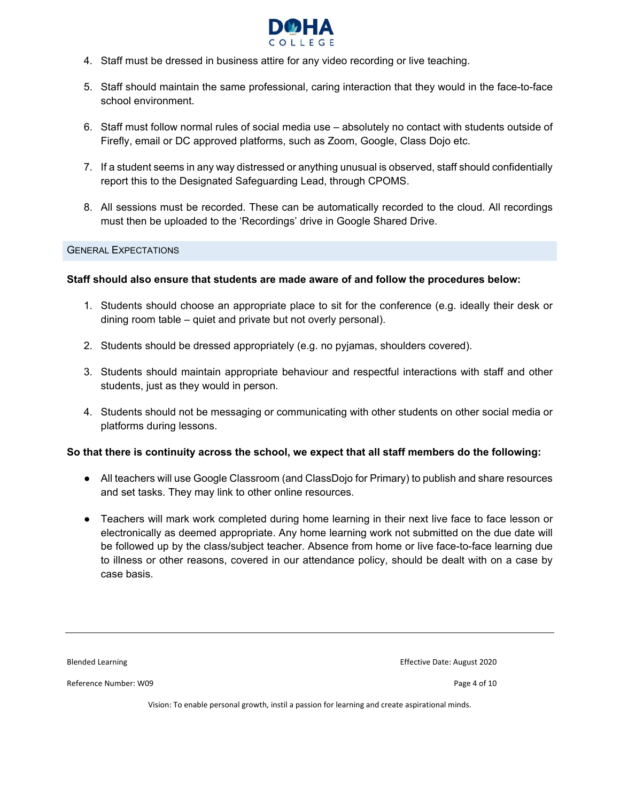

- 4. Staff must be dressed in business attire for any video recording or live teaching.
- 5. Staff should maintain the same professional, caring interaction that they would in the face-to-face school environment.
- 6. Staff must follow normal rules of social media use absolutely no contact with students outside of Firefly, email or DC approved platforms, such as Zoom, Google, Class Dojo etc.
- 7. If a student seems in any way distressed or anything unusual is observed, staff should confidentially report this to the Designated Safeguarding Lead, through CPOMS.
- 8. All sessions must be recorded. These can be automatically recorded to the cloud. All recordings must then be uploaded to the 'Recordings' drive in Google Shared Drive.

# GENERAL EXPECTATIONS

# **Staff should also ensure that students are made aware of and follow the procedures below:**

- 1. Students should choose an appropriate place to sit for the conference (e.g. ideally their desk or dining room table – quiet and private but not overly personal).
- 2. Students should be dressed appropriately (e.g. no pyjamas, shoulders covered).
- 3. Students should maintain appropriate behaviour and respectful interactions with staff and other students, just as they would in person.
- 4. Students should not be messaging or communicating with other students on other social media or platforms during lessons.

# **So that there is continuity across the school, we expect that all staff members do the following:**

- All teachers will use Google Classroom (and ClassDojo for Primary) to publish and share resources and set tasks. They may link to other online resources.
- Teachers will mark work completed during home learning in their next live face to face lesson or electronically as deemed appropriate. Any home learning work not submitted on the due date will be followed up by the class/subject teacher. Absence from home or live face-to-face learning due to illness or other reasons, covered in our attendance policy, should be dealt with on a case by case basis.

Reference Number: W09 **Details** and the extent of the extent of the extent of the extent of the extent of the extent of the extent of the extent of the extent of the extent of the extent of the extent of the extent of the

Blended Learning **Blended Learning Effective Date: August 2020**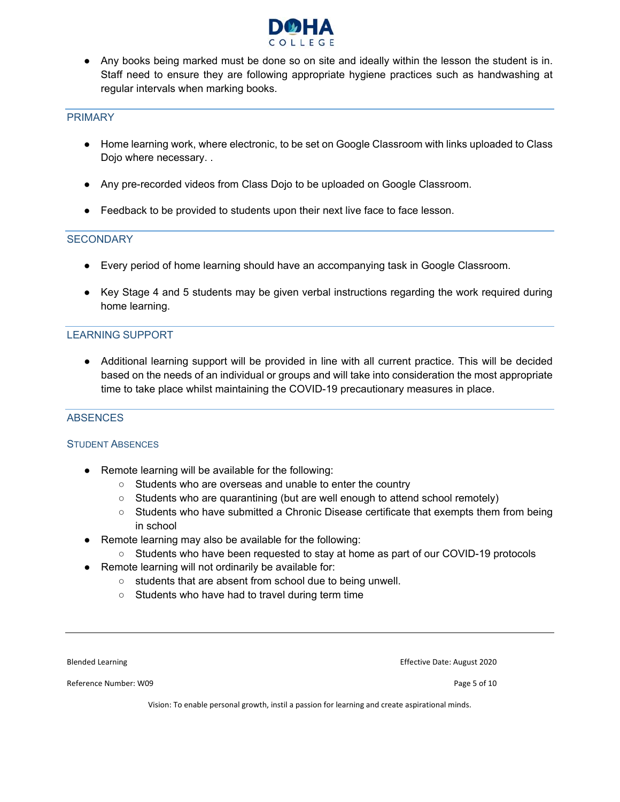

● Any books being marked must be done so on site and ideally within the lesson the student is in. Staff need to ensure they are following appropriate hygiene practices such as handwashing at regular intervals when marking books.

# PRIMARY

- Home learning work, where electronic, to be set on Google Classroom with links uploaded to Class Dojo where necessary. .
- Any pre-recorded videos from Class Dojo to be uploaded on Google Classroom.
- Feedback to be provided to students upon their next live face to face lesson.

# **SECONDARY**

- Every period of home learning should have an accompanying task in Google Classroom.
- Key Stage 4 and 5 students may be given verbal instructions regarding the work required during home learning.

# LEARNING SUPPORT

● Additional learning support will be provided in line with all current practice. This will be decided based on the needs of an individual or groups and will take into consideration the most appropriate time to take place whilst maintaining the COVID-19 precautionary measures in place.

# **ABSENCES**

# STUDENT ABSENCES

- Remote learning will be available for the following:
	- Students who are overseas and unable to enter the country
	- Students who are quarantining (but are well enough to attend school remotely)
	- Students who have submitted a Chronic Disease certificate that exempts them from being in school
- Remote learning may also be available for the following:
	- Students who have been requested to stay at home as part of our COVID-19 protocols
- Remote learning will not ordinarily be available for:
	- students that are absent from school due to being unwell.
		- Students who have had to travel during term time

Blended Learning **Blended Learning Effective Date: August 2020** 

Reference Number: W09 **Details and COVID-200** Page 5 of 10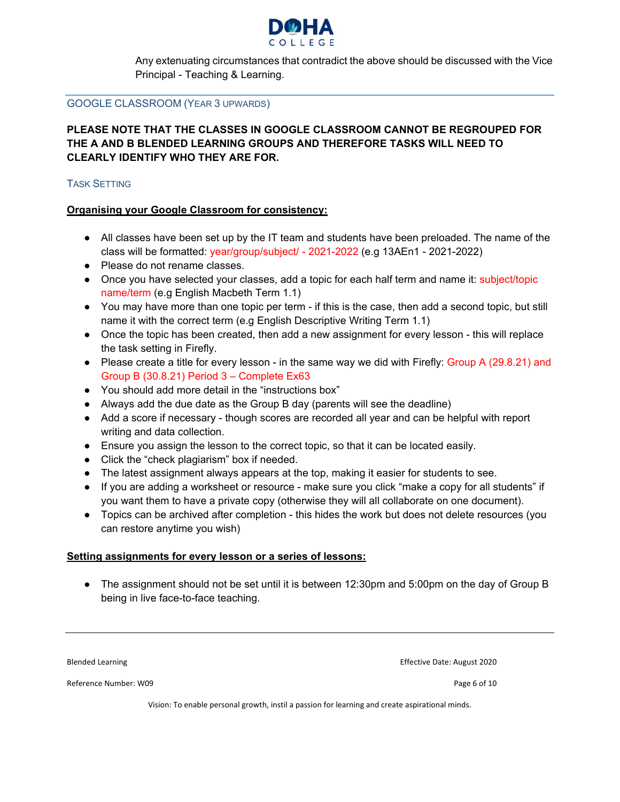

Any extenuating circumstances that contradict the above should be discussed with the Vice Principal - Teaching & Learning.

# GOOGLE CLASSROOM (YEAR 3 UPWARDS)

# **PLEASE NOTE THAT THE CLASSES IN GOOGLE CLASSROOM CANNOT BE REGROUPED FOR THE A AND B BLENDED LEARNING GROUPS AND THEREFORE TASKS WILL NEED TO CLEARLY IDENTIFY WHO THEY ARE FOR.**

# TASK SETTING

# **Organising your Google Classroom for consistency:**

- All classes have been set up by the IT team and students have been preloaded. The name of the class will be formatted: year/group/subject/ - 2021-2022 (e.g 13AEn1 - 2021-2022)
- Please do not rename classes.
- Once you have selected your classes, add a topic for each half term and name it: subject/topic name/term (e.g English Macbeth Term 1.1)
- You may have more than one topic per term if this is the case, then add a second topic, but still name it with the correct term (e.g English Descriptive Writing Term 1.1)
- Once the topic has been created, then add a new assignment for every lesson this will replace the task setting in Firefly.
- Please create a title for every lesson in the same way we did with Firefly: Group A (29.8.21) and Group B (30.8.21) Period 3 – Complete Ex63
- You should add more detail in the "instructions box"
- Always add the due date as the Group B day (parents will see the deadline)
- Add a score if necessary though scores are recorded all year and can be helpful with report writing and data collection.
- Ensure you assign the lesson to the correct topic, so that it can be located easily.
- Click the "check plagiarism" box if needed.
- The latest assignment always appears at the top, making it easier for students to see.
- If you are adding a worksheet or resource make sure you click "make a copy for all students" if you want them to have a private copy (otherwise they will all collaborate on one document).
- Topics can be archived after completion this hides the work but does not delete resources (you can restore anytime you wish)

# **Setting assignments for every lesson or a series of lessons:**

● The assignment should not be set until it is between 12:30pm and 5:00pm on the day of Group B being in live face-to-face teaching.

Blended Learning **Blended Learning Effective Date: August 2020** 

Reference Number: W09 **Details and COVID-Reference Number: W09** Page 6 of 10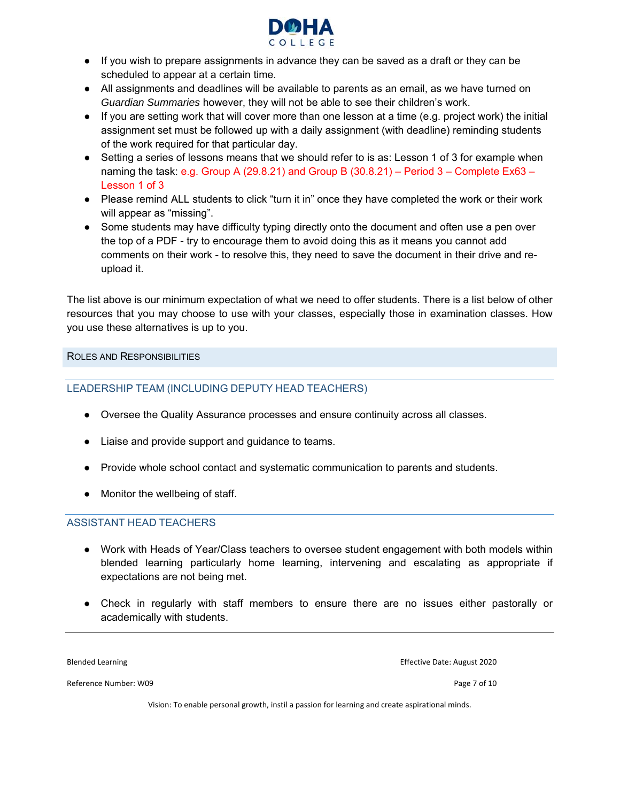

- If you wish to prepare assignments in advance they can be saved as a draft or they can be scheduled to appear at a certain time.
- All assignments and deadlines will be available to parents as an email, as we have turned on *Guardian Summaries* however, they will not be able to see their children's work.
- If you are setting work that will cover more than one lesson at a time (e.g. project work) the initial assignment set must be followed up with a daily assignment (with deadline) reminding students of the work required for that particular day.
- Setting a series of lessons means that we should refer to is as: Lesson 1 of 3 for example when naming the task: e.g. Group A (29.8.21) and Group B (30.8.21) – Period 3 – Complete Ex63 – Lesson 1 of 3
- Please remind ALL students to click "turn it in" once they have completed the work or their work will appear as "missing".
- Some students may have difficulty typing directly onto the document and often use a pen over the top of a PDF - try to encourage them to avoid doing this as it means you cannot add comments on their work - to resolve this, they need to save the document in their drive and reupload it.

The list above is our minimum expectation of what we need to offer students. There is a list below of other resources that you may choose to use with your classes, especially those in examination classes. How you use these alternatives is up to you.

# ROLES AND RESPONSIBILITIES

# LEADERSHIP TEAM (INCLUDING DEPUTY HEAD TEACHERS)

- Oversee the Quality Assurance processes and ensure continuity across all classes.
- Liaise and provide support and guidance to teams.
- Provide whole school contact and systematic communication to parents and students.
- Monitor the wellbeing of staff.

# ASSISTANT HEAD TEACHERS

- Work with Heads of Year/Class teachers to oversee student engagement with both models within blended learning particularly home learning, intervening and escalating as appropriate if expectations are not being met.
- Check in regularly with staff members to ensure there are no issues either pastorally or academically with students.

Blended Learning **Blended Learning Effective Date: August 2020** 

Reference Number: W09 **Details and COVID-Reference Number: W09** Page 7 of 10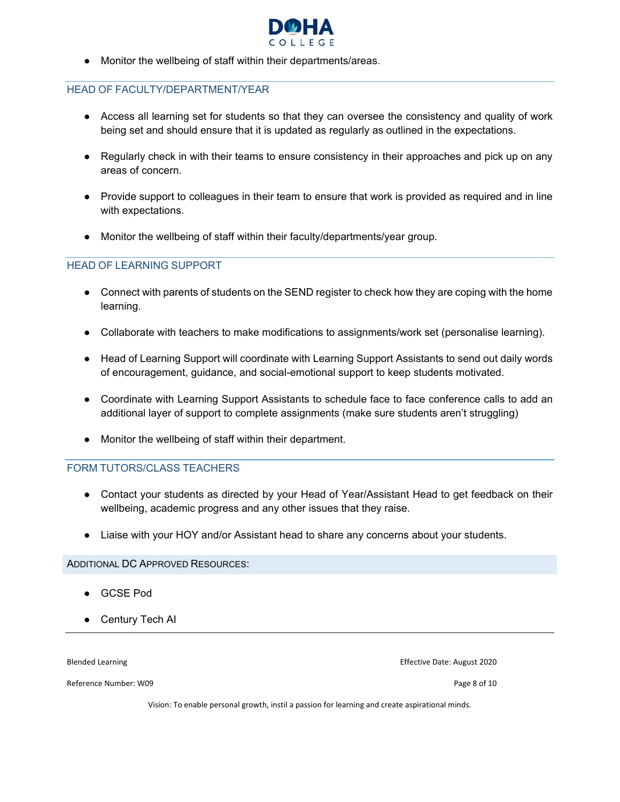

● Monitor the wellbeing of staff within their departments/areas.

# HEAD OF FACULTY/DEPARTMENT/YEAR

- Access all learning set for students so that they can oversee the consistency and quality of work being set and should ensure that it is updated as regularly as outlined in the expectations.
- Regularly check in with their teams to ensure consistency in their approaches and pick up on any areas of concern.
- Provide support to colleagues in their team to ensure that work is provided as required and in line with expectations.
- Monitor the wellbeing of staff within their faculty/departments/year group.

# HEAD OF LEARNING SUPPORT

- Connect with parents of students on the SEND register to check how they are coping with the home learning.
- Collaborate with teachers to make modifications to assignments/work set (personalise learning).
- Head of Learning Support will coordinate with Learning Support Assistants to send out daily words of encouragement, guidance, and social-emotional support to keep students motivated.
- Coordinate with Learning Support Assistants to schedule face to face conference calls to add an additional layer of support to complete assignments (make sure students aren't struggling)
- Monitor the wellbeing of staff within their department.

# FORM TUTORS/CLASS TEACHERS

- Contact your students as directed by your Head of Year/Assistant Head to get feedback on their wellbeing, academic progress and any other issues that they raise.
- Liaise with your HOY and/or Assistant head to share any concerns about your students.

# ADDITIONAL DC APPROVED RESOURCES:

- GCSE Pod
- Century Tech Al

Blended Learning **Effective Date: August 2020** 

Reference Number: W09 **Details and COVID-200** Page 8 of 10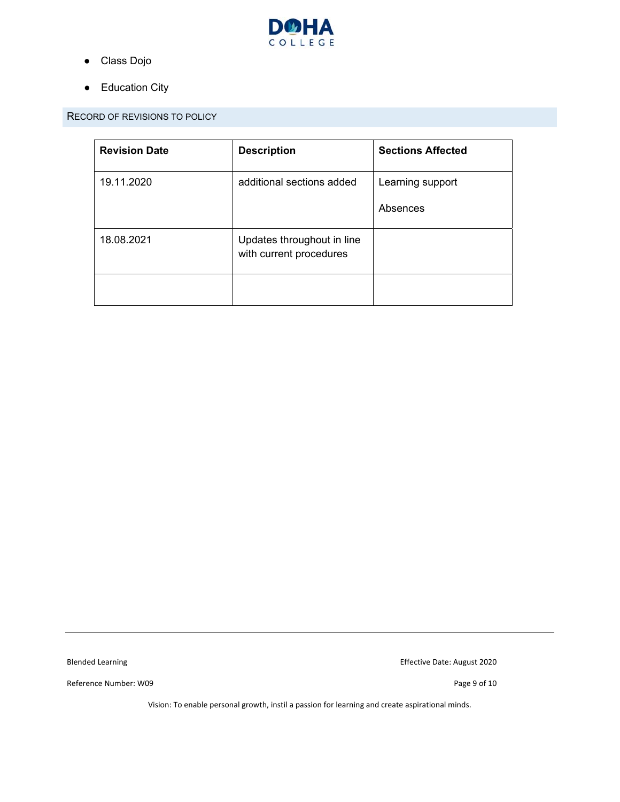

- Class Dojo
- Education City

RECORD OF REVISIONS TO POLICY

| <b>Revision Date</b> | <b>Description</b>                                    | <b>Sections Affected</b> |
|----------------------|-------------------------------------------------------|--------------------------|
| 19.11.2020           | additional sections added                             | Learning support         |
|                      |                                                       | Absences                 |
| 18.08.2021           | Updates throughout in line<br>with current procedures |                          |
|                      |                                                       |                          |

Reference Number: W09 Page 9 of 10

Blended Learning **Blended Learning Effective Date: August 2020**